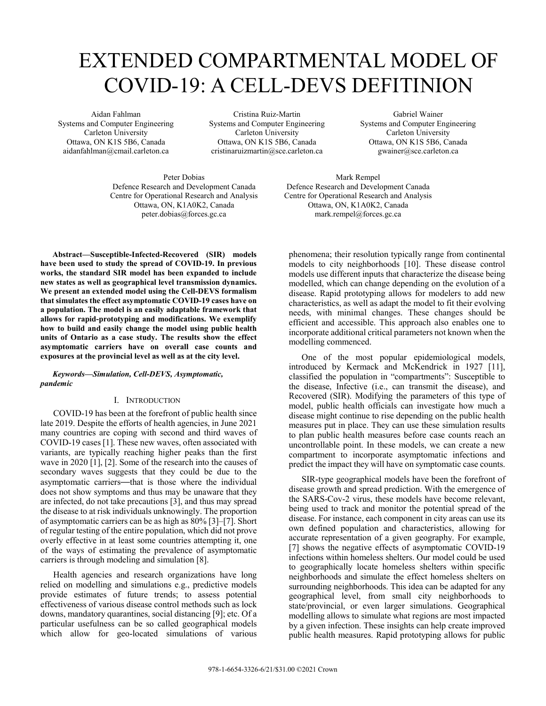# EXTENDED COMPARTMENTAL MODEL OF COVID-19: A CELL-DEVS DEFITINION

Aidan Fahlman Systems and Computer Engineering Carleton University Ottawa, ON K1S 5B6, Canada aidanfahlman@cmail.carleton.ca

Cristina Ruiz-Martin Systems and Computer Engineering Carleton University Ottawa, ON K1S 5B6, Canada cristinaruizmartin@sce.carleton.ca

Gabriel Wainer Systems and Computer Engineering Carleton University Ottawa, ON K1S 5B6, Canada gwainer@sce.carleton.ca

Peter Dobias Defence Research and Development Canada Centre for Operational Research and Analysis Ottawa, ON, K1A0K2, Canada peter.dobias@forces.gc.ca

Mark Rempel Defence Research and Development Canada Centre for Operational Research and Analysis Ottawa, ON, K1A0K2, Canada mark.rempel@forces.gc.ca

**Abstract—Susceptible-Infected-Recovered (SIR) models have been used to study the spread of COVID-19. In previous works, the standard SIR model has been expanded to include new states as well as geographical level transmission dynamics. We present an extended model using the Cell-DEVS formalism that simulates the effect asymptomatic COVID-19 cases have on a population. The model is an easily adaptable framework that allows for rapid-prototyping and modifications. We exemplify how to build and easily change the model using public health units of Ontario as a case study. The results show the effect asymptomatic carriers have on overall case counts and exposures at the provincial level as well as at the city level.**

## *Keywords—Simulation, Cell-DEVS, Asymptomatic, pandemic*

# I. INTRODUCTION

COVID-19 has been at the forefront of public health since late 2019. Despite the efforts of health agencies, in June 2021 many countries are coping with second and third waves of COVID-19 cases [1]. These new waves, often associated with variants, are typically reaching higher peaks than the first wave in 2020 [1], [2]. Some of the research into the causes of secondary waves suggests that they could be due to the asymptomatic carriers—that is those where the individual does not show symptoms and thus may be unaware that they are infected, do not take precautions [3], and thus may spread the disease to at risk individuals unknowingly. The proportion of asymptomatic carriers can be as high as 80% [3]–[7]. Short of regular testing of the entire population, which did not prove overly effective in at least some countries attempting it, one of the ways of estimating the prevalence of asymptomatic carriers is through modeling and simulation [8].

Health agencies and research organizations have long relied on modelling and simulations e.g., predictive models provide estimates of future trends; to assess potential effectiveness of various disease control methods such as lock downs, mandatory quarantines, social distancing [9]; etc. Of a particular usefulness can be so called geographical models which allow for geo-located simulations of various

phenomena; their resolution typically range from continental models to city neighborhoods [10]. These disease control models use different inputs that characterize the disease being modelled, which can change depending on the evolution of a disease. Rapid prototyping allows for modelers to add new characteristics, as well as adapt the model to fit their evolving needs, with minimal changes. These changes should be efficient and accessible. This approach also enables one to incorporate additional critical parameters not known when the modelling commenced.

One of the most popular epidemiological models, introduced by Kermack and McKendrick in 1927 [11], classified the population in "compartments": Susceptible to the disease, Infective (i.e., can transmit the disease), and Recovered (SIR). Modifying the parameters of this type of model, public health officials can investigate how much a disease might continue to rise depending on the public health measures put in place. They can use these simulation results to plan public health measures before case counts reach an uncontrollable point. In these models, we can create a new compartment to incorporate asymptomatic infections and predict the impact they will have on symptomatic case counts.

SIR-type geographical models have been the forefront of disease growth and spread prediction. With the emergence of the SARS-Cov-2 virus, these models have become relevant, being used to track and monitor the potential spread of the disease. For instance, each component in city areas can use its own defined population and characteristics, allowing for accurate representation of a given geography. For example, [7] shows the negative effects of asymptomatic COVID-19 infections within homeless shelters. Our model could be used to geographically locate homeless shelters within specific neighborhoods and simulate the effect homeless shelters on surrounding neighborhoods. This idea can be adapted for any geographical level, from small city neighborhoods to state/provincial, or even larger simulations. Geographical modelling allows to simulate what regions are most impacted by a given infection. These insights can help create improved public health measures. Rapid prototyping allows for public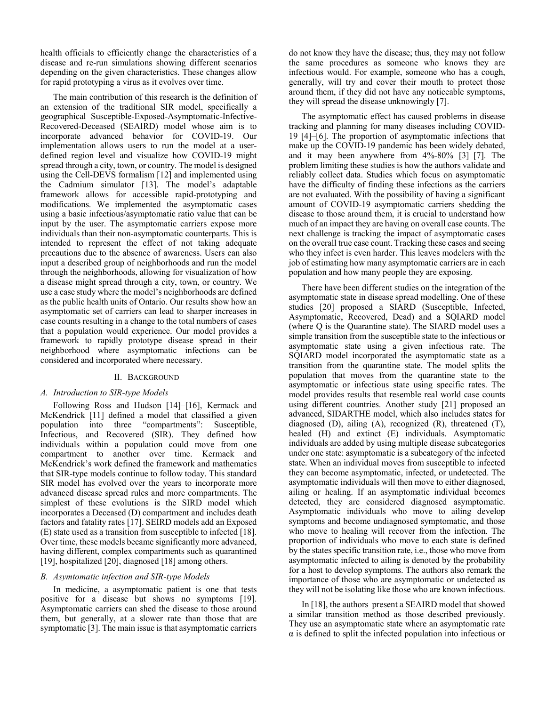health officials to efficiently change the characteristics of a disease and re-run simulations showing different scenarios depending on the given characteristics. These changes allow for rapid prototyping a virus as it evolves over time.

The main contribution of this research is the definition of an extension of the traditional SIR model, specifically a geographical Susceptible-Exposed-Asymptomatic-Infective-Recovered-Deceased (SEAIRD) model whose aim is to incorporate advanced behavior for COVID-19. Our implementation allows users to run the model at a userdefined region level and visualize how COVID-19 might spread through a city, town, or country. The model is designed using the Cell-DEVS formalism [12] and implemented using the Cadmium simulator [13]. The model's adaptable framework allows for accessible rapid-prototyping and modifications. We implemented the asymptomatic cases using a basic infectious/asymptomatic ratio value that can be input by the user. The asymptomatic carriers expose more individuals than their non-asymptomatic counterparts. This is intended to represent the effect of not taking adequate precautions due to the absence of awareness. Users can also input a described group of neighborhoods and run the model through the neighborhoods, allowing for visualization of how a disease might spread through a city, town, or country. We use a case study where the model's neighborhoods are defined as the public health units of Ontario. Our results show how an asymptomatic set of carriers can lead to sharper increases in case counts resulting in a change to the total numbers of cases that a population would experience. Our model provides a framework to rapidly prototype disease spread in their neighborhood where asymptomatic infections can be considered and incorporated where necessary.

## II. BACKGROUND

## *A. Introduction to SIR-type Models*

 Following Ross and Hudson [14]–[16], Kermack and McKendrick [11] defined a model that classified a given population into three "compartments": Susceptible, Infectious, and Recovered (SIR). They defined how individuals within a population could move from one compartment to another over time. Kermack and McKendrick's work defined the framework and mathematics that SIR-type models continue to follow today. This standard SIR model has evolved over the years to incorporate more advanced disease spread rules and more compartments. The simplest of these evolutions is the SIRD model which incorporates a Deceased (D) compartment and includes death factors and fatality rates [17]. SEIRD models add an Exposed (E) state used as a transition from susceptible to infected [18]. Over time, these models became significantly more advanced, having different, complex compartments such as quarantined [19], hospitalized [20], diagnosed [18] among others.

## *B. Asymtomatic infection and SIR-type Models*

In medicine, a asymptomatic patient is one that tests positive for a disease but shows no symptoms [19]. Asymptomatic carriers can shed the disease to those around them, but generally, at a slower rate than those that are symptomatic [3]. The main issue is that asymptomatic carriers

do not know they have the disease; thus, they may not follow the same procedures as someone who knows they are infectious would. For example, someone who has a cough, generally, will try and cover their mouth to protect those around them, if they did not have any noticeable symptoms, they will spread the disease unknowingly [7].

The asymptomatic effect has caused problems in disease tracking and planning for many diseases including COVID-19 [4]–[6]. The proportion of asymptomatic infections that make up the COVID-19 pandemic has been widely debated, and it may been anywhere from 4%-80% [3]–[7]. The problem limiting these studies is how the authors validate and reliably collect data. Studies which focus on asymptomatic have the difficulty of finding these infections as the carriers are not evaluated. With the possibility of having a significant amount of COVID-19 asymptomatic carriers shedding the disease to those around them, it is crucial to understand how much of an impact they are having on overall case counts. The next challenge is tracking the impact of asymptomatic cases on the overall true case count. Tracking these cases and seeing who they infect is even harder. This leaves modelers with the job of estimating how many asymptomatic carriers are in each population and how many people they are exposing.

There have been different studies on the integration of the asymptomatic state in disease spread modelling. One of these studies [20] proposed a SIARD (Susceptible, Infected, Asymptomatic, Recovered, Dead) and a SQIARD model (where Q is the Quarantine state). The SIARD model uses a simple transition from the susceptible state to the infectious or asymptomatic state using a given infectious rate. The SQIARD model incorporated the asymptomatic state as a transition from the quarantine state. The model splits the population that moves from the quarantine state to the asymptomatic or infectious state using specific rates. The model provides results that resemble real world case counts using different countries. Another study [21] proposed an advanced, SIDARTHE model, which also includes states for diagnosed (D), ailing (A), recognized (R), threatened (T), healed (H) and extinct (E) individuals. Asymptomatic individuals are added by using multiple disease subcategories under one state: asymptomatic is a subcategory of the infected state. When an individual moves from susceptible to infected they can become asymptomatic, infected, or undetected. The asymptomatic individuals will then move to either diagnosed, ailing or healing. If an asymptomatic individual becomes detected, they are considered diagnosed asymptomatic. Asymptomatic individuals who move to ailing develop symptoms and become undiagnosed symptomatic, and those who move to healing will recover from the infection. The proportion of individuals who move to each state is defined by the states specific transition rate, i.e., those who move from asymptomatic infected to ailing is denoted by the probability for a host to develop symptoms. The authors also remark the importance of those who are asymptomatic or undetected as they will not be isolating like those who are known infectious.

In [18], the authors present a SEAIRD model that showed a similar transition method as those described previously. They use an asymptomatic state where an asymptomatic rate  $\alpha$  is defined to split the infected population into infectious or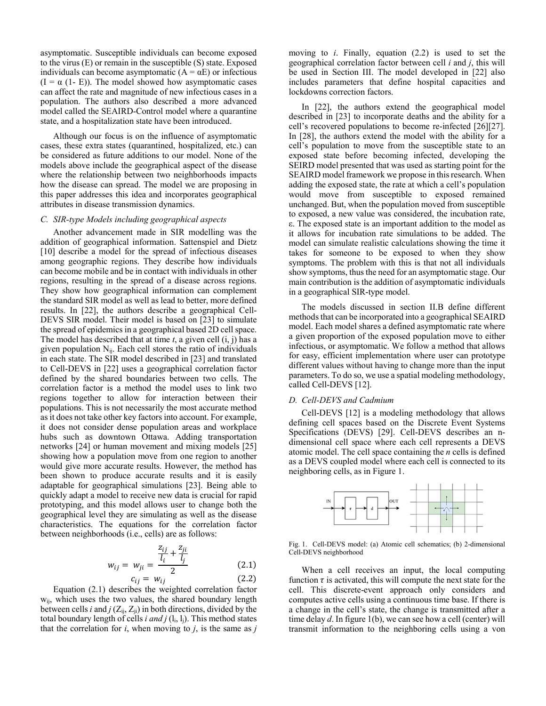asymptomatic. Susceptible individuals can become exposed to the virus (E) or remain in the susceptible (S) state. Exposed individuals can become asymptomatic  $(A = \alpha E)$  or infectious  $(I = \alpha (1 - E))$ . The model showed how asymptomatic cases can affect the rate and magnitude of new infectious cases in a population. The authors also described a more advanced model called the SEAIRD-Control model where a quarantine state, and a hospitalization state have been introduced.

Although our focus is on the influence of asymptomatic cases, these extra states (quarantined, hospitalized, etc.) can be considered as future additions to our model. None of the models above include the geographical aspect of the disease where the relationship between two neighborhoods impacts how the disease can spread. The model we are proposing in this paper addresses this idea and incorporates geographical attributes in disease transmission dynamics.

## *C. SIR-type Models including geographical aspects*

 Another advancement made in SIR modelling was the addition of geographical information. Sattenspiel and Dietz [10] describe a model for the spread of infectious diseases among geographic regions. They describe how individuals can become mobile and be in contact with individuals in other regions, resulting in the spread of a disease across regions. They show how geographical information can complement the standard SIR model as well as lead to better, more defined results. In [22], the authors describe a geographical Cell-DEVS SIR model. Their model is based on [23] to simulate the spread of epidemics in a geographical based 2D cell space. The model has described that at time *t*, a given cell (i, j) has a given population  $N_{ii}$ . Each cell stores the ratio of individuals in each state. The SIR model described in [23] and translated to Cell-DEVS in [22] uses a geographical correlation factor defined by the shared boundaries between two cells. The correlation factor is a method the model uses to link two regions together to allow for interaction between their populations. This is not necessarily the most accurate method as it does not take other key factors into account. For example, it does not consider dense population areas and workplace hubs such as downtown Ottawa. Adding transportation networks [24] or human movement and mixing models [25] showing how a population move from one region to another would give more accurate results. However, the method has been shown to produce accurate results and it is easily adaptable for geographical simulations [23]. Being able to quickly adapt a model to receive new data is crucial for rapid prototyping, and this model allows user to change both the geographical level they are simulating as well as the disease characteristics. The equations for the correlation factor between neighborhoods (i.e., cells) are as follows:

$$
w_{ij} = w_{ji} = \frac{\frac{z_{ij}}{l_i} + \frac{z_{ji}}{l_j}}{2}
$$
 (2.1)

$$
c_{ij} = w_{ij} \tag{2.2}
$$

Equation (2.1) describes the weighted correlation factor wij, which uses the two values, the shared boundary length between cells *i* and  $j$  ( $Z_{ii}$ ,  $Z_{ii}$ ) in both directions, divided by the total boundary length of cells *i and j*  $(l_i, l_j)$ . This method states that the correlation for  $i$ , when moving to  $j$ , is the same as  $j$  moving to *i*. Finally, equation (2.2) is used to set the geographical correlation factor between cell *i* and *j*, this will be used in Section III. The model developed in [22] also includes parameters that define hospital capacities and lockdowns correction factors.

In [22], the authors extend the geographical model described in [23] to incorporate deaths and the ability for a cell's recovered populations to become re-infected [26][27]. In [28], the authors extend the model with the ability for a cell's population to move from the susceptible state to an exposed state before becoming infected, developing the SEIRD model presented that was used as starting point for the SEAIRD model framework we propose in this research. When adding the exposed state, the rate at which a cell's population would move from susceptible to exposed remained unchanged. But, when the population moved from susceptible to exposed, a new value was considered, the incubation rate, ε. The exposed state is an important addition to the model as it allows for incubation rate simulations to be added. The model can simulate realistic calculations showing the time it takes for someone to be exposed to when they show symptoms. The problem with this is that not all individuals show symptoms, thus the need for an asymptomatic stage. Our main contribution is the addition of asymptomatic individuals in a geographical SIR-type model.

The models discussed in section II.B define different methods that can be incorporated into a geographical SEAIRD model. Each model shares a defined asymptomatic rate where a given proportion of the exposed population move to either infectious, or asymptomatic. We follow a method that allows for easy, efficient implementation where user can prototype different values without having to change more than the input parameters. To do so, we use a spatial modeling methodology, called Cell-DEVS [12].

#### *D. Cell-DEVS and Cadmium*

Cell-DEVS [12] is a modeling methodology that allows defining cell spaces based on the Discrete Event Systems Specifications (DEVS) [29]. Cell-DEVS describes an ndimensional cell space where each cell represents a DEVS atomic model. The cell space containing the *n* cells is defined as a DEVS coupled model where each cell is connected to its neighboring cells, as in Figure 1.



Fig. 1. Cell-DEVS model: (a) Atomic cell schematics; (b) 2-dimensional Cell-DEVS neighborhood

 When a cell receives an input, the local computing function  $\tau$  is activated, this will compute the next state for the cell. This discrete-event approach only considers and computes active cells using a continuous time base. If there is a change in the cell's state, the change is transmitted after a time delay *d*. In figure 1(b), we can see how a cell (center) will transmit information to the neighboring cells using a von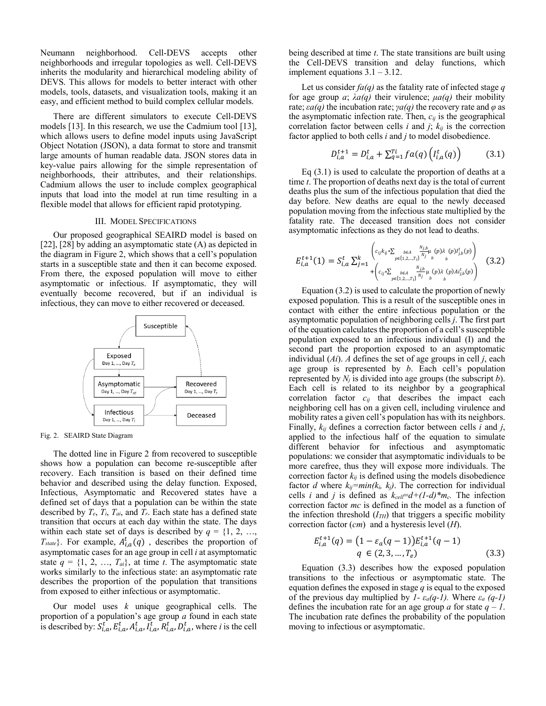Neumann neighborhood. Cell-DEVS accepts other neighborhoods and irregular topologies as well. Cell-DEVS inherits the modularity and hierarchical modeling ability of DEVS. This allows for models to better interact with other models, tools, datasets, and visualization tools, making it an easy, and efficient method to build complex cellular models.

 There are different simulators to execute Cell-DEVS models [13]. In this research, we use the Cadmium tool [13], which allows users to define model inputs using JavaScript Object Notation (JSON), a data format to store and transmit large amounts of human readable data. JSON stores data in key-value pairs allowing for the simple representation of neighborhoods, their attributes, and their relationships. Cadmium allows the user to include complex geographical inputs that load into the model at run time resulting in a flexible model that allows for efficient rapid prototyping.

## III. MODEL SPECIFICATIONS

Our proposed geographical SEAIRD model is based on [22],  $[28]$  by adding an asymptomatic state  $(A)$  as depicted in the diagram in Figure 2, which shows that a cell's population starts in a susceptible state and then it can become exposed. From there, the exposed population will move to either asymptomatic or infectious. If asymptomatic, they will eventually become recovered, but if an individual is infectious, they can move to either recovered or deceased.



Fig. 2. SEAIRD State Diagram

The dotted line in Figure 2 from recovered to susceptible shows how a population can become re-susceptible after recovery. Each transition is based on their defined time behavior and described using the delay function. Exposed, Infectious, Asymptomatic and Recovered states have a defined set of days that a population can be within the state described by  $T_e$ ,  $T_i$ ,  $T_{ai}$ , and  $T_r$ . Each state has a defined state transition that occurs at each day within the state. The days within each state set of days is described by  $q = \{1, 2, ...,$  $T_{state}$ . For example,  $A_{i,a}^{t}(q)$ , describes the proportion of asymptomatic cases for an age group in cell *i* at asymptomatic state  $q = \{1, 2, ..., T_{ai}\}$ , at time *t*. The asymptomatic state works similarly to the infectious state: an asymptomatic rate describes the proportion of the population that transitions from exposed to either infectious or asymptomatic.

Our model uses *k* unique geographical cells. The proportion of a population's age group *a* found in each state is described by:  $S_{i,a}^t$ ,  $E_{i,a}^t$ ,  $A_{i,a}^t$ ,  $I_{i,a}^t$ ,  $R_{i,a}^t$ ,  $D_{i,a}^t$ , where *i* is the cell being described at time *t*. The state transitions are built using the Cell-DEVS transition and delay functions, which implement equations 3.1 – 3.12.

Let us consider *fa(q)* as the fatality rate of infected stage *q* for age group *a*; *λa(q)* their virulence; *μa(q)* their mobility rate;  $\epsilon a(q)$  the incubation rate;  $\gamma a(q)$  the recovery rate and  $\varphi$  as the asymptomatic infection rate. Then,  $c_{ij}$  is the geographical correlation factor between cells  $i$  and  $j$ ;  $k_{ij}$  is the correction factor applied to both cells *i* and *j* to model disobedience.

$$
D_{i,a}^{t+1} = D_{i,a}^t + \sum_{q=1}^{T_i} fa(q) \left( I_{i,a}^t(q) \right) \tag{3.1}
$$

 Eq (3.1) is used to calculate the proportion of deaths at a time *t*. The proportion of deaths next day is the total of current deaths plus the sum of the infectious population that died the day before. New deaths are equal to the newly deceased population moving from the infectious state multiplied by the fatality rate. The deceased transition does not consider asymptomatic infections as they do not lead to deaths.

$$
E_{i,a}^{t+1}(1) = S_{i,a}^{t} \sum_{j=1}^{k} \left( c_{ij} k_{ij} * \sum_{p \in \{1,2,\ldots,T_i\}} \sum_{j=1}^{N_{j,b}} \sum_{b}^{(p)} (p) \lambda(p) l_{j,b}^{t}(p) \right) \n+ \left( c_{ij} * \sum_{p \in \{1,2,\ldots,T_i\}} \sum_{j=1}^{N_{j,b}} \sum_{j=1}^{N_{j,b}} \sum_{b}^{(\mathbf{p})} (p) \lambda(p) A l_{j,b}^{t}(p) \right) \n\tag{3.2}
$$

 Equation (3.2) is used to calculate the proportion of newly exposed population. This is a result of the susceptible ones in contact with either the entire infectious population or the asymptomatic population of neighboring cells *j*. The first part of the equation calculates the proportion of a cell's susceptible population exposed to an infectious individual (I) and the second part the proportion exposed to an asymptomatic individual (*Ai*). *A* defines the set of age groups in cell *j*, each age group is represented by *b*. Each cell's population represented by *Nj* is divided into age groups (the subscript *b*). Each cell is related to its neighbor by a geographical correlation factor *cij* that describes the impact each neighboring cell has on a given cell, including virulence and mobility rates a given cell's population has with its neighbors. Finally, *kij* defines a correction factor between cells *i* and *j*, applied to the infectious half of the equation to simulate different behavior for infectious and asymptomatic populations: we consider that asymptomatic individuals to be more carefree, thus they will expose more individuals. The correction factor  $k_{ij}$  is defined using the models disobedience factor *d* where  $k_{ij}$ =min( $k_i$ ,  $k_j$ ). The correction for individual cells *i* and *j* is defined as  $k_{cell} = d + (1-d)^{m}m_c$ . The infection correction factor *mc* is defined in the model as a function of the infection threshold  $(I_{TH})$  that triggers a specific mobility correction factor (*cm*) and a hysteresis level (*H*).

$$
E_{i,a}^{t+1}(q) = (1 - \varepsilon_a(q-1))E_{i,a}^{t+1}(q-1)
$$
  
q \in (2, 3, ..., T<sub>e</sub>) (3.3)

 Equation (3.3) describes how the exposed population transitions to the infectious or asymptomatic state. The equation defines the exposed in stage *q* is equal to the exposed of the previous day multiplied by  $I - \varepsilon_a(q-1)$ . Where  $\varepsilon_a(q-1)$ defines the incubation rate for an age group  $a$  for state  $q - 1$ . The incubation rate defines the probability of the population moving to infectious or asymptomatic.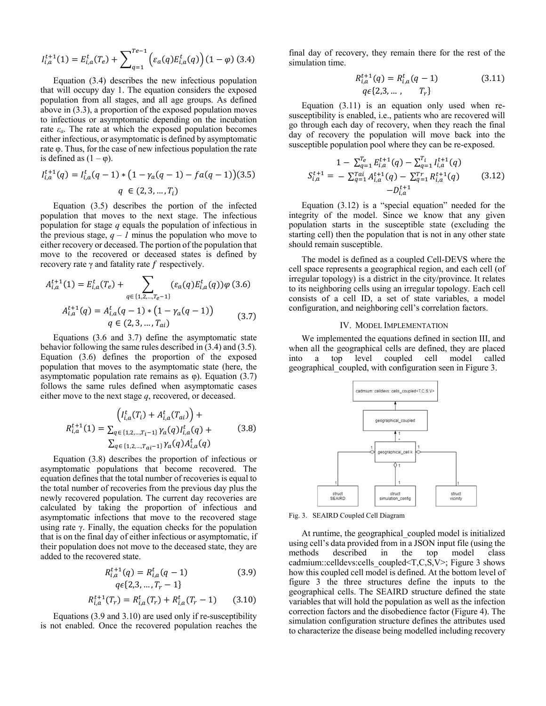$$
I_{i,a}^{t+1}(1) = E_{i,a}^t(T_e) + \sum_{q=1}^{Te-1} \left( \varepsilon_a(q) E_{i,a}^t(q) \right) (1 - \varphi) (3.4)
$$

 Equation (3.4) describes the new infectious population that will occupy day 1. The equation considers the exposed population from all stages, and all age groups. As defined above in (3.3), a proportion of the exposed population moves to infectious or asymptomatic depending on the incubation rate  $\varepsilon_a$ . The rate at which the exposed population becomes either infectious, or asymptomatic is defined by asymptomatic rate φ. Thus, for the case of new infectious population the rate is defined as  $(1 - \varphi)$ .

$$
I_{i,a}^{t+1}(q) = I_{i,a}^t(q-1) * (1 - \gamma_a(q-1) - fa(q-1))(3.5)
$$
  
 
$$
q \in (2, 3, ..., T_i)
$$

Equation (3.5) describes the portion of the infected population that moves to the next stage. The infectious population for stage *q* equals the population of infectious in the previous stage,  $q - l$  minus the population who move to either recovery or deceased. The portion of the population that move to the recovered or deceased states is defined by recovery rate  $\gamma$  and fatality rate  $f$  respectively.

$$
A_{i,a}^{t+1}(1) = E_{i,a}^t(T_e) + \sum_{q \in \{1,2,\dots,T_e-1\}} (\varepsilon_a(q) E_{i,a}^t(q)) \varphi(3.6)
$$
  

$$
A_{i,a}^{t+1}(q) = A_{i,a}^t(q-1) * (1 - \gamma_a(q-1))
$$
  

$$
q \in (2,3,\dots,T_{ai})
$$
 (3.7)

 Equations (3.6 and 3.7) define the asymptomatic state behavior following the same rules described in (3.4) and (3.5). Equation (3.6) defines the proportion of the exposed population that moves to the asymptomatic state (here, the asymptomatic population rate remains as φ). Equation (3.7) follows the same rules defined when asymptomatic cases either move to the next stage *q*, recovered, or deceased.

$$
\left(I_{i,a}^{t}(T_{i}) + A_{i,a}^{t}(T_{ai})\right) +
$$
\n
$$
R_{i,a}^{t+1}(1) = \sum_{q \in \{1,2,\ldots,T_{i}-1\}} \gamma_{a}(q) I_{i,a}^{t}(q) +
$$
\n
$$
\sum_{q \in \{1,2,\ldots,T_{ai}-1\}} \gamma_{a}(q) A_{i,a}^{t}(q)
$$
\n(3.8)

 Equation (3.8) describes the proportion of infectious or asymptomatic populations that become recovered. The equation defines that the total number of recoveries is equal to the total number of recoveries from the previous day plus the newly recovered population. The current day recoveries are calculated by taking the proportion of infectious and asymptomatic infections that move to the recovered stage using rate γ. Finally, the equation checks for the population that is on the final day of either infectious or asymptomatic, if their population does not move to the deceased state, they are added to the recovered state.

$$
R_{i,a}^{t+1}(q) = R_{i,a}^t(q-1)
$$
\n
$$
q \in \{2,3,\dots,T_r-1\}
$$
\n(3.9)

$$
R_{i,a}^{t+1}(T_r) = R_{i,a}^t(T_r) + R_{i,a}^t(T_r - 1)
$$
 (3.10)

Equations (3.9 and 3.10) are used only if re-susceptibility is not enabled. Once the recovered population reaches the final day of recovery, they remain there for the rest of the simulation time.

$$
R_{i,a}^{t+1}(q) = R_{i,a}^t(q-1)
$$
\n
$$
q\in\{2,3,\dots, T_r\}
$$
\n(3.11)

 Equation (3.11) is an equation only used when resusceptibility is enabled, i.e., patients who are recovered will go through each day of recovery, when they reach the final day of recovery the population will move back into the susceptible population pool where they can be re-exposed.

$$
1 - \sum_{q=1}^{T_e} E_{i,a}^{t+1}(q) - \sum_{q=1}^{T_i} I_{i,a}^{t+1}(q)
$$
  

$$
S_{i,a}^{t+1} = - \sum_{q=1}^{T_a} A_{i,a}^{t+1}(q) - \sum_{q=1}^{T_r} R_{i,a}^{t+1}(q)
$$
 (3.12)  

$$
-D_{i,a}^{t+1}
$$

 Equation (3.12) is a "special equation" needed for the integrity of the model. Since we know that any given population starts in the susceptible state (excluding the starting cell) then the population that is not in any other state should remain susceptible.

The model is defined as a coupled Cell-DEVS where the cell space represents a geographical region, and each cell (of irregular topology) is a district in the city/province. It relates to its neighboring cells using an irregular topology. Each cell consists of a cell ID, a set of state variables, a model configuration, and neighboring cell's correlation factors.

#### IV. MODEL IMPLEMENTATION

We implemented the equations defined in section III, and when all the geographical cells are defined, they are placed into a top level coupled cell model called geographical\_coupled, with configuration seen in Figure 3.



Fig. 3. SEAIRD Coupled Cell Diagram

At runtime, the geographical coupled model is initialized using cell's data provided from in a JSON input file (using the methods described in the top model class cadmium::celldevs:cells\_coupled<T,C,S,V>; Figure 3 shows how this coupled cell model is defined. At the bottom level of figure 3 the three structures define the inputs to the geographical cells. The SEAIRD structure defined the state variables that will hold the population as well as the infection correction factors and the disobedience factor (Figure 4). The simulation configuration structure defines the attributes used to characterize the disease being modelled including recovery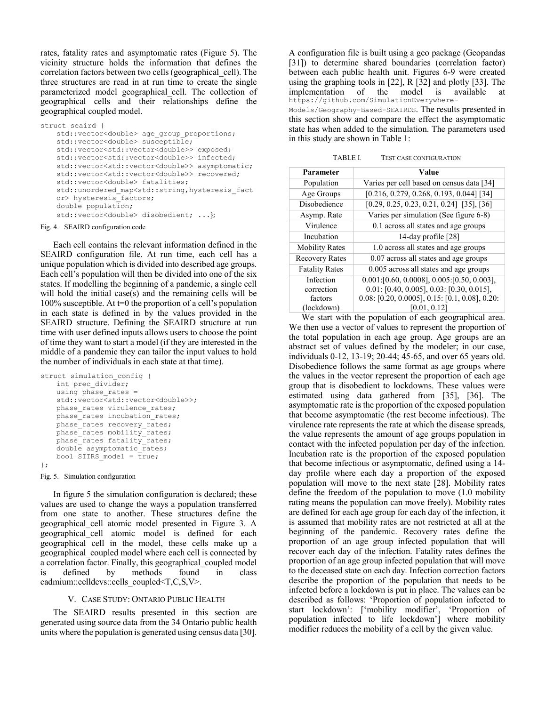rates, fatality rates and asymptomatic rates (Figure 5). The vicinity structure holds the information that defines the correlation factors between two cells (geographical cell). The three structures are read in at run time to create the single parameterized model geographical cell. The collection of geographical cells and their relationships define the geographical coupled model.

```
struct seaird { 
   std::vector<double> age_group_proportions;
   std::vector<double> susceptible;
   std::vector<std::vector<double>> exposed;
   std::vector<std::vector<double>> infected;
   std::vector<std::vector<double>> asymptomatic;
    std::vector<std::vector<double>> recovered; 
   std::vector<double> fatalities; 
   std::unordered map<std::string,hysteresis fact
   or> hysteresis_factors; 
    double population; 
   std::vector<double> disobedient; ...};
```
#### Fig. 4. SEAIRD configuration code

Each cell contains the relevant information defined in the SEAIRD configuration file. At run time, each cell has a unique population which is divided into described age groups. Each cell's population will then be divided into one of the six states. If modelling the beginning of a pandemic, a single cell will hold the initial case(s) and the remaining cells will be 100% susceptible. At  $t=0$  the proportion of a cell's population in each state is defined in by the values provided in the SEAIRD structure. Defining the SEAIRD structure at run time with user defined inputs allows users to choose the point of time they want to start a model (if they are interested in the middle of a pandemic they can tailor the input values to hold the number of individuals in each state at that time).

```
struct simulation config {
   int prec divider;
    using phase rates =std::vector<std::vector<double>>;
   phase rates virulence rates;
   phase rates incubation rates;
   phase rates recovery_rates;
    phase rates mobility rates;
   phase rates fatality rates;
    double asymptomatic rates;
    bool SIIRS model = \overline{true};
};
```
## Fig. 5. Simulation configuration

In figure 5 the simulation configuration is declared; these values are used to change the ways a population transferred from one state to another. These structures define the geographical\_cell atomic model presented in Figure 3. A geographical\_cell atomic model is defined for each geographical cell in the model, these cells make up a geographical\_coupled model where each cell is connected by a correlation factor. Finally, this geographical coupled model is defined by methods found in class cadmium::celldevs::cells\_coupled<T,C,S,V>.

## V. CASE STUDY: ONTARIO PUBLIC HEALTH

The SEAIRD results presented in this section are generated using source data from the 34 Ontario public health units where the population is generated using census data [30].

A configuration file is built using a geo package (Geopandas [31]) to determine shared boundaries (correlation factor) between each public health unit. Figures 6-9 were created using the graphing tools in [22], R [32] and plotly [33]. The implementation of the model is available at https://github.com/SimulationEverywhere-Models/Geography-Based-SEAIRDS. The results presented in this section show and compare the effect the asymptomatic state has when added to the simulation. The parameters used in this study are shown in Table 1:

TABLE I. TEST CASE CONFIGURATION

| Parameter             | Value                                            |
|-----------------------|--------------------------------------------------|
| Population            | Varies per cell based on census data [34]        |
| Age Groups            | $[0.216, 0.279, 0.268, 0.193, 0.044]$ [34]       |
| Disobedience          | $[0.29, 0.25, 0.23, 0.21, 0.24]$ [35], [36]      |
| Asymp. Rate           | Varies per simulation (See figure 6-8)           |
| Virulence             | 0.1 across all states and age groups             |
| Incubation            | 14-day profile [28]                              |
| <b>Mobility Rates</b> | 1.0 across all states and age groups             |
| <b>Recovery Rates</b> | 0.07 across all states and age groups            |
| <b>Fatality Rates</b> | 0.005 across all states and age groups           |
| Infection             | $0.001$ :[0.60, 0.0008], 0.005:[0.50, 0.003],    |
| correction            | $0.01: [0.40, 0.005], 0.03: [0.30, 0.015],$      |
| factors               | $0.08: [0.20, 0.0005], 0.15: [0.1, 0.08], 0.20:$ |
| (lockdown)            | [0.01, 0.12]                                     |

We start with the population of each geographical area. We then use a vector of values to represent the proportion of the total population in each age group. Age groups are an abstract set of values defined by the modeler; in our case, individuals 0-12, 13-19; 20-44; 45-65, and over 65 years old. Disobedience follows the same format as age groups where the values in the vector represent the proportion of each age group that is disobedient to lockdowns. These values were estimated using data gathered from [35], [36]. The asymptomatic rate is the proportion of the exposed population that become asymptomatic (the rest become infectious). The virulence rate represents the rate at which the disease spreads, the value represents the amount of age groups population in contact with the infected population per day of the infection. Incubation rate is the proportion of the exposed population that become infectious or asymptomatic, defined using a 14 day profile where each day a proportion of the exposed population will move to the next state [28]. Mobility rates define the freedom of the population to move (1.0 mobility rating means the population can move freely). Mobility rates are defined for each age group for each day of the infection, it is assumed that mobility rates are not restricted at all at the beginning of the pandemic. Recovery rates define the proportion of an age group infected population that will recover each day of the infection. Fatality rates defines the proportion of an age group infected population that will move to the deceased state on each day. Infection correction factors describe the proportion of the population that needs to be infected before a lockdown is put in place. The values can be described as follows: 'Proportion of population infected to start lockdown': ['mobility modifier', 'Proportion of population infected to life lockdown'] where mobility modifier reduces the mobility of a cell by the given value.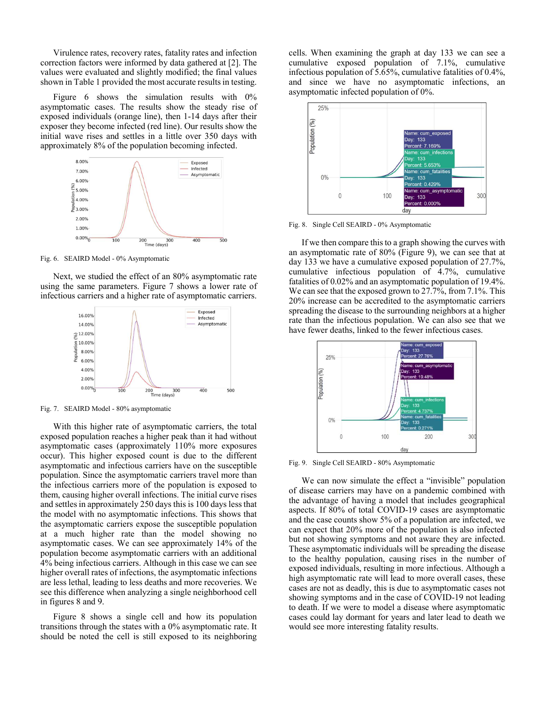Virulence rates, recovery rates, fatality rates and infection correction factors were informed by data gathered at [2]. The values were evaluated and slightly modified; the final values shown in Table 1 provided the most accurate results in testing.

Figure 6 shows the simulation results with 0% asymptomatic cases. The results show the steady rise of exposed individuals (orange line), then 1-14 days after their exposer they become infected (red line). Our results show the initial wave rises and settles in a little over 350 days with approximately 8% of the population becoming infected.



Fig. 6. SEAIRD Model - 0% Asymptomatic

Next, we studied the effect of an 80% asymptomatic rate using the same parameters. Figure 7 shows a lower rate of infectious carriers and a higher rate of asymptomatic carriers.



Fig. 7. SEAIRD Model - 80% asymptomatic

With this higher rate of asymptomatic carriers, the total exposed population reaches a higher peak than it had without asymptomatic cases (approximately 110% more exposures occur). This higher exposed count is due to the different asymptomatic and infectious carriers have on the susceptible population. Since the asymptomatic carriers travel more than the infectious carriers more of the population is exposed to them, causing higher overall infections. The initial curve rises and settles in approximately 250 days this is 100 days less that the model with no asymptomatic infections. This shows that the asymptomatic carriers expose the susceptible population at a much higher rate than the model showing no asymptomatic cases. We can see approximately 14% of the population become asymptomatic carriers with an additional 4% being infectious carriers. Although in this case we can see higher overall rates of infections, the asymptomatic infections are less lethal, leading to less deaths and more recoveries. We see this difference when analyzing a single neighborhood cell in figures 8 and 9.

Figure 8 shows a single cell and how its population transitions through the states with a 0% asymptomatic rate. It should be noted the cell is still exposed to its neighboring cells. When examining the graph at day 133 we can see a cumulative exposed population of 7.1%, cumulative infectious population of 5.65%, cumulative fatalities of 0.4%, and since we have no asymptomatic infections, an asymptomatic infected population of 0%.



Fig. 8. Single Cell SEAIRD - 0% Asymptomatic

If we then compare this to a graph showing the curves with an asymptomatic rate of 80% (Figure 9), we can see that at day 133 we have a cumulative exposed population of 27.7%, cumulative infectious population of 4.7%, cumulative fatalities of 0.02% and an asymptomatic population of 19.4%. We can see that the exposed grown to 27.7%, from 7.1%. This 20% increase can be accredited to the asymptomatic carriers spreading the disease to the surrounding neighbors at a higher rate than the infectious population. We can also see that we have fewer deaths, linked to the fewer infectious cases.



Fig. 9. Single Cell SEAIRD - 80% Asymptomatic

We can now simulate the effect a "invisible" population of disease carriers may have on a pandemic combined with the advantage of having a model that includes geographical aspects. If 80% of total COVID-19 cases are asymptomatic and the case counts show 5% of a population are infected, we can expect that 20% more of the population is also infected but not showing symptoms and not aware they are infected. These asymptomatic individuals will be spreading the disease to the healthy population, causing rises in the number of exposed individuals, resulting in more infectious. Although a high asymptomatic rate will lead to more overall cases, these cases are not as deadly, this is due to asymptomatic cases not showing symptoms and in the case of COVID-19 not leading to death. If we were to model a disease where asymptomatic cases could lay dormant for years and later lead to death we would see more interesting fatality results.